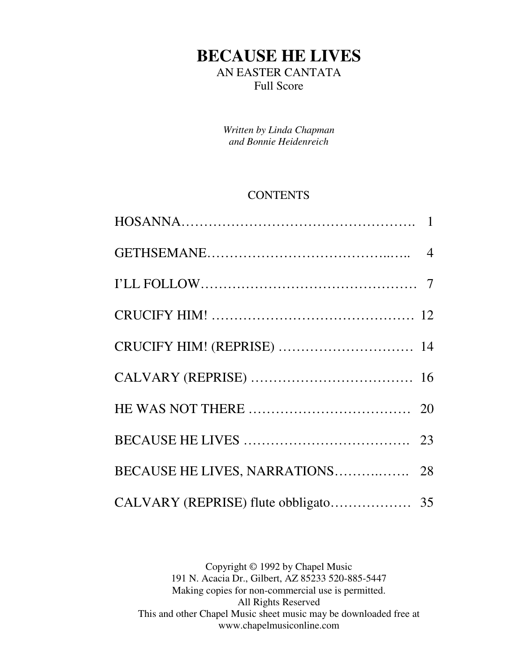# **BECAUSE HE LIVES**  AN EASTER CANTATA Full Score

*Written by Linda Chapman and Bonnie Heidenreich* 

#### **CONTENTS**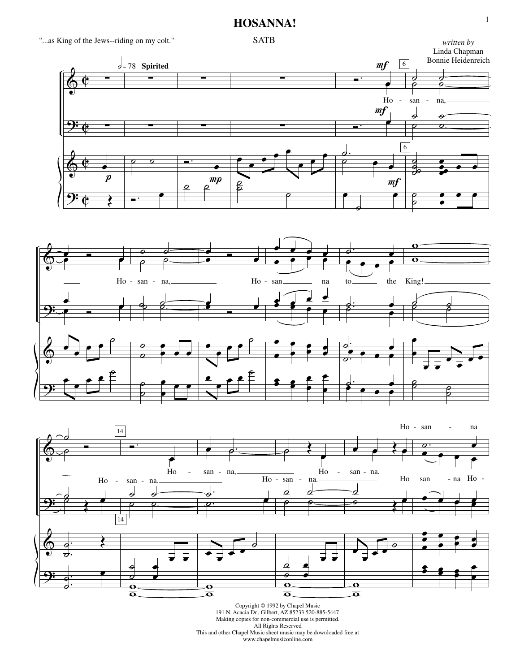#### **HOSANNA!**

"...as King of the Jews--riding on my colt."







Copyright © 1992 by Chapel Music 191 N. Acacia Dr., Gilbert, AZ 85233 520-885-5447 Making copies for non-commercial use is permitted. All Rights Reserved This and other Chapel Music sheet music may be downloaded free at www.chapelmusiconline.com

1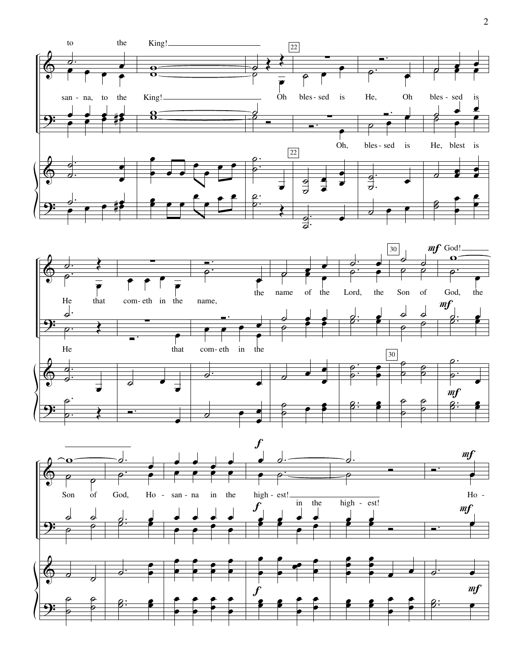



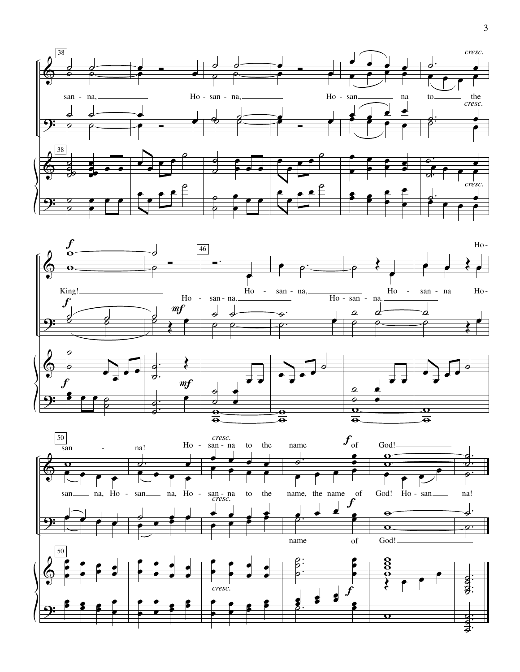



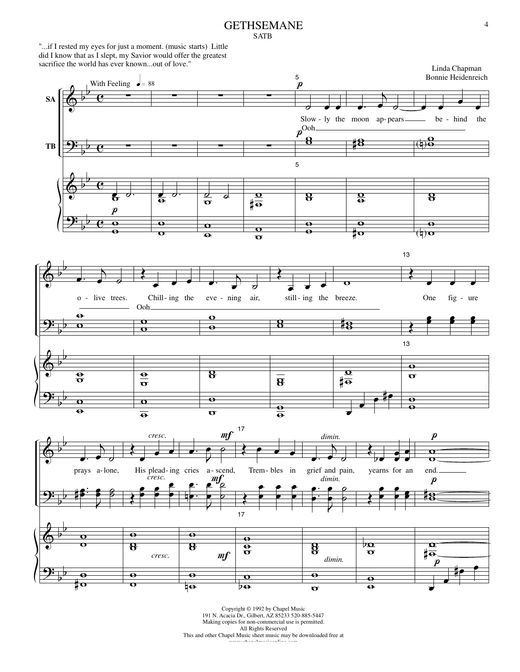#### GETHSEMANE SATB

"...if I rested my eyes for just a moment. (music starts) Little did I know that as I slept, my Savior would offer the greatest sacrifice the world has ever known...out of love."

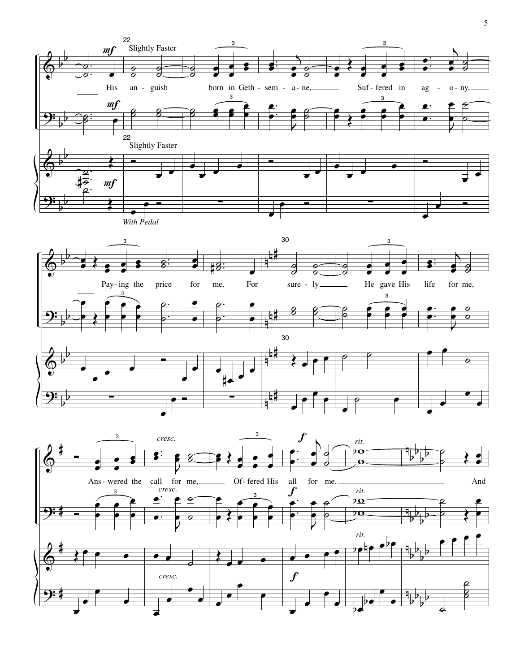

 $\overline{\bullet}$  $\overline{\bullet}$  $\bullet$  $\overline{\bullet}$  $\overline{\bullet}$  $\overline{\bullet}$ P  $\overline{\bullet}$  $\bullet$  $\overline{\phantom{a}}$ P  $\overline{\phantom{a}}$  $\bullet$  $\overline{\bullet}$ P  $\overline{\bullet}$  $\frac{1}{2}$ 

þ  $\frac{1}{2}$  $\frac{1}{2}$  $\frac{1}{2}$  $\frac{1}{2}$ 

 $\overline{\phantom{a}}$ 

 $\overline{8}$ р<br>8

 $\overline{\phantom{a}}$  $\overline{\bullet}$ 

<u>9:</u>

ŧ

5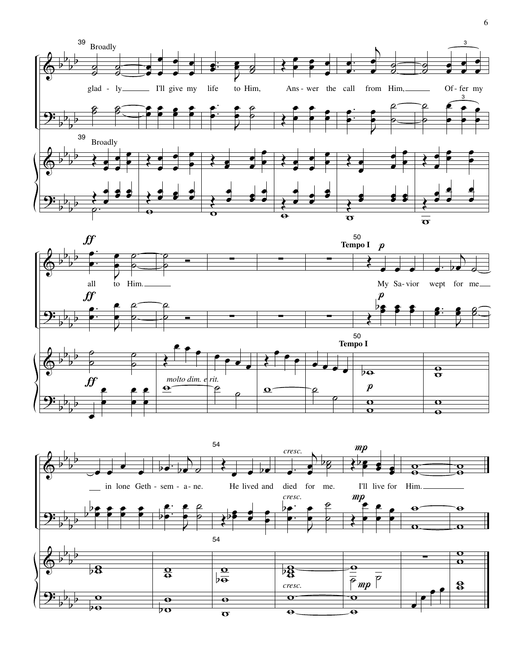



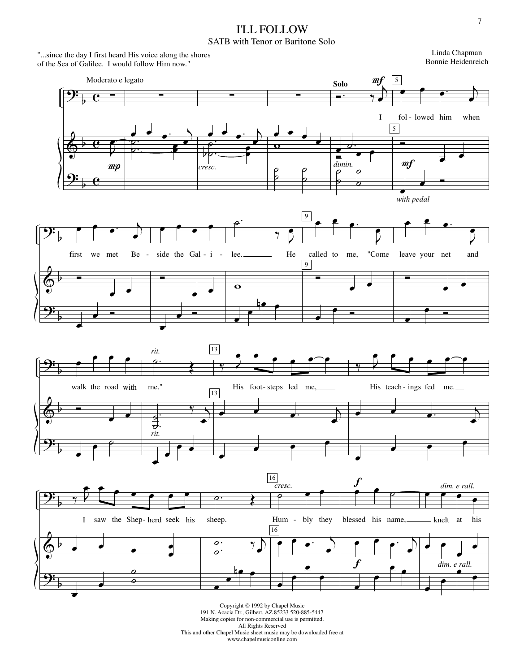## I'LL FOLLOW

#### SATB with Tenor or Baritone Solo

"...since the day I first heard His voice along the shores of the Sea of Galilee. I would follow Him now."

Linda Chapman Bonnie Heidenreich

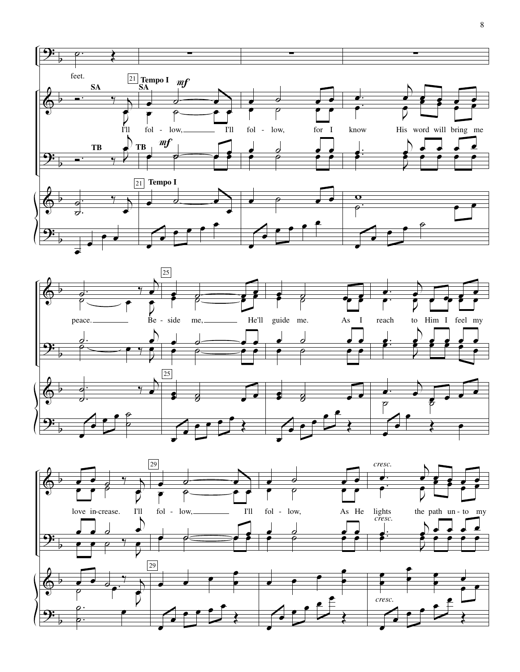



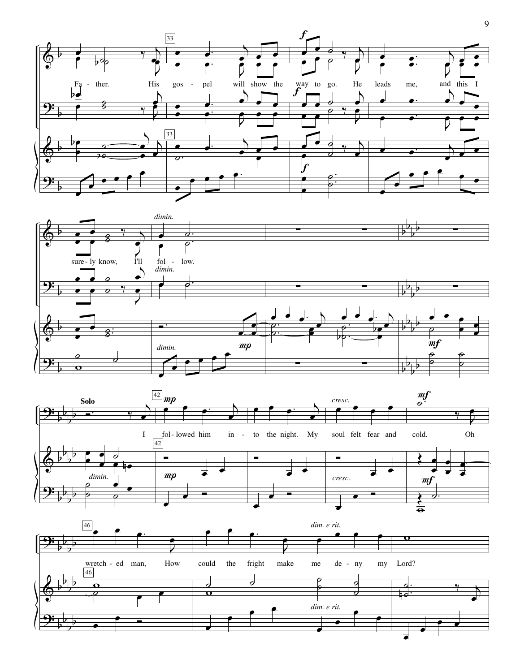





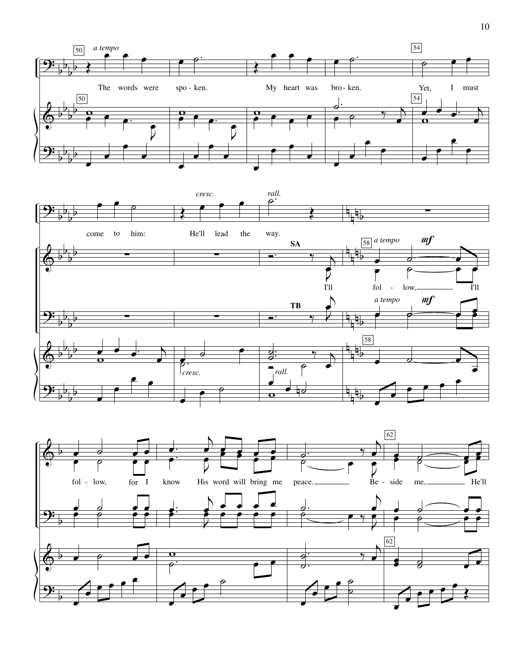



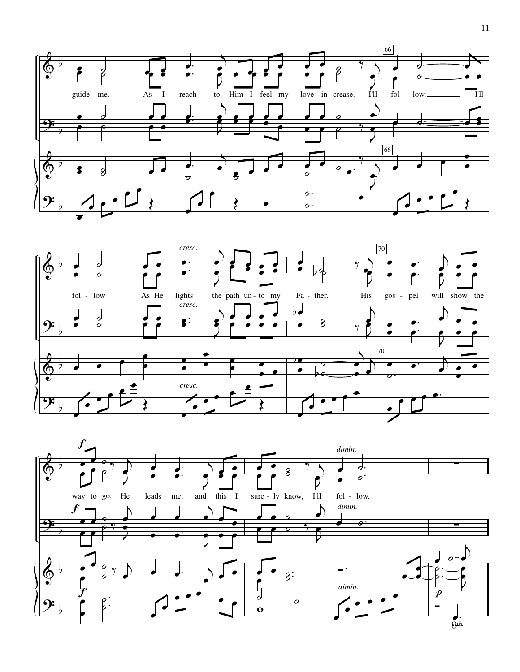



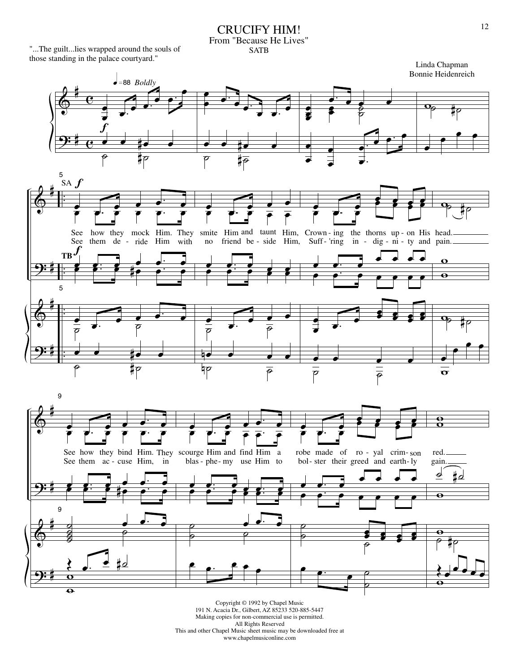#### CRUCIFY HIM! From "Because He Lives" SATB

"...The guilt...lies wrapped around the souls of those standing in the palace courtyard."



191 N. Acacia Dr., Gilbert, AZ 85233 520-885-5447 Making copies for non-commercial use is permitted. All Rights Reserved This and other Chapel Music sheet music may be downloaded free at www.chapelmusiconline.com

Linda Chapman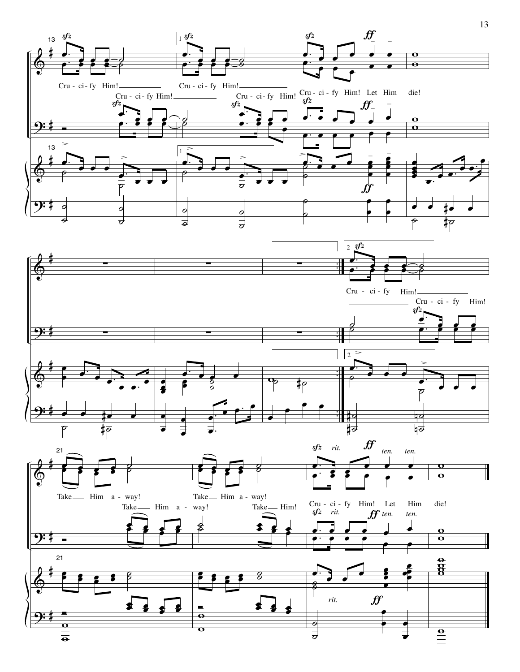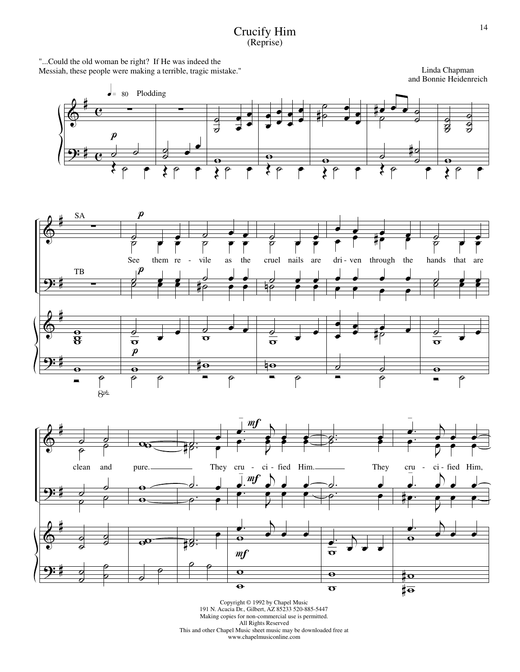#### Crucify Him (Reprise)

"...Could the old woman be right? If He was indeed the Messiah, these people were making a terrible, tragic mistake."

Linda Chapman and Bonnie Heidenreich





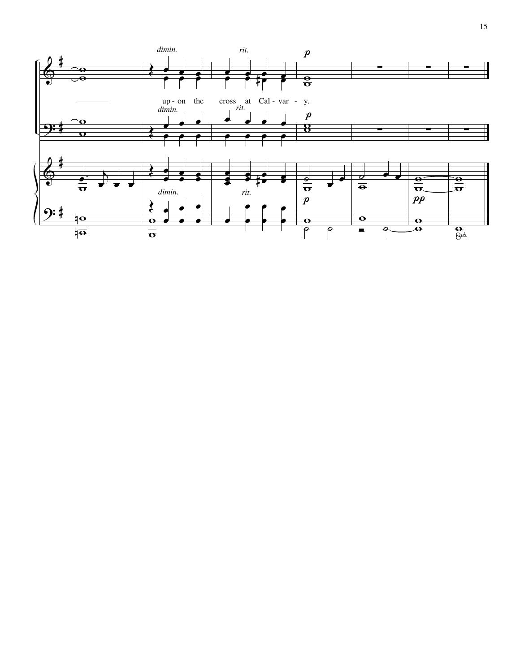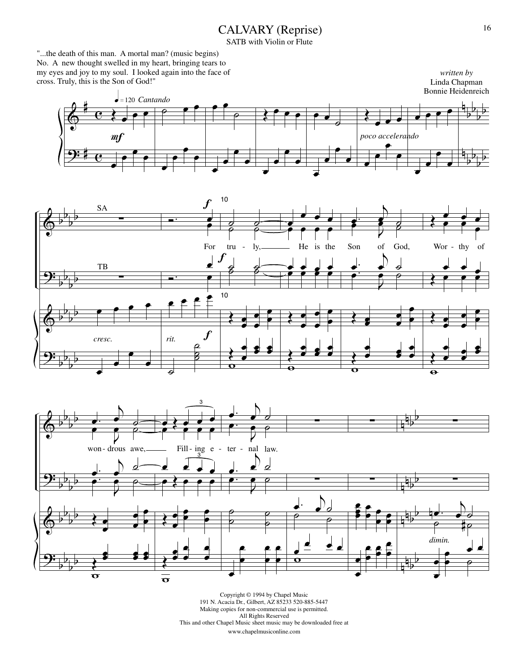# CALVARY (Reprise)

SATB with Violin or Flute

"...the death of this man. A mortal man? (music begins) No. A new thought swelled in my heart, bringing tears to my eyes and joy to my soul. I looked again into the face of cross. Truly, this is the Son of God!"







Copyright © 1994 by Chapel Music 191 N. Acacia Dr., Gilbert, AZ 85233 520-885-5447 Making copies for non-commercial use is permitted. All Rights Reserved This and other Chapel Music sheet music may be downloaded free at www.chapelmusiconline.com

*written by*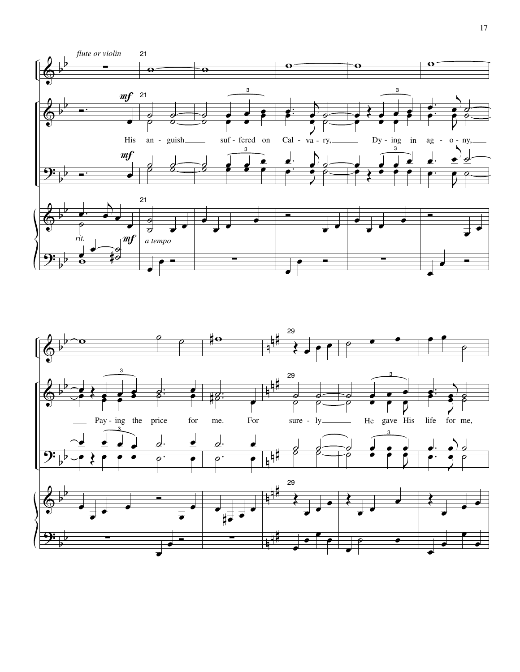

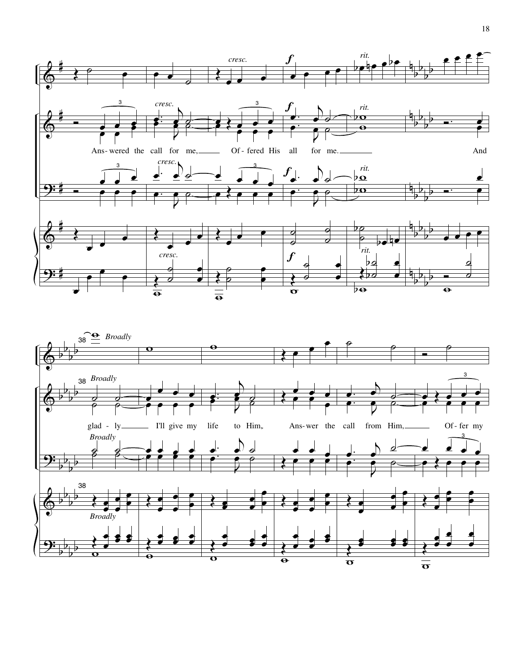

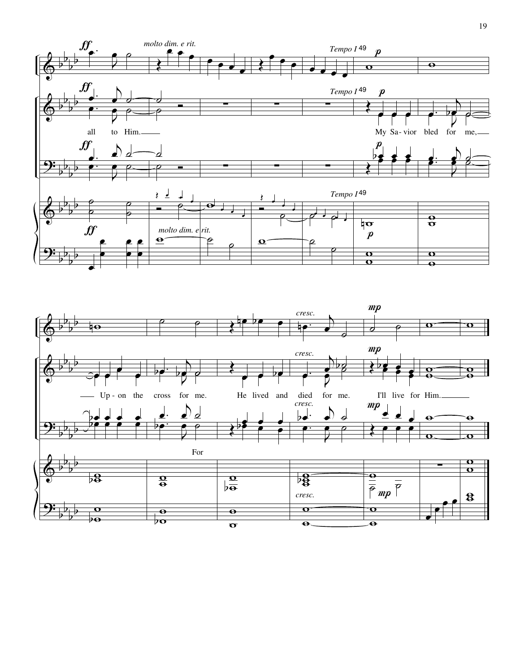

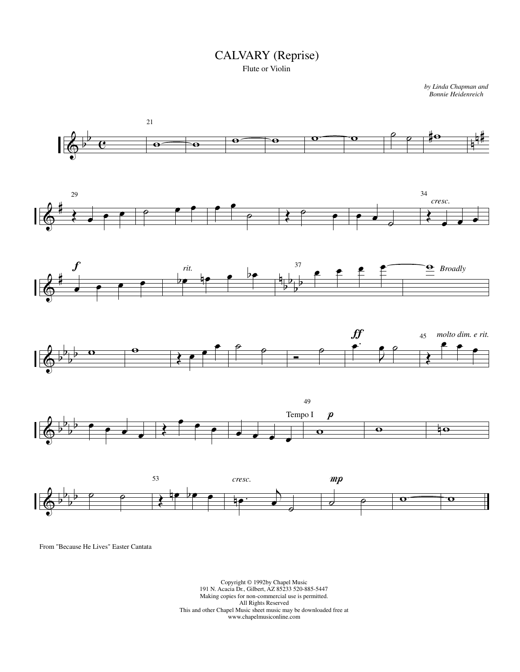## CALVARY (Reprise)

*by Linda Chapman and Bonnie Heidenreich*



From "Because He Lives" Easter Cantata

Flute or Violin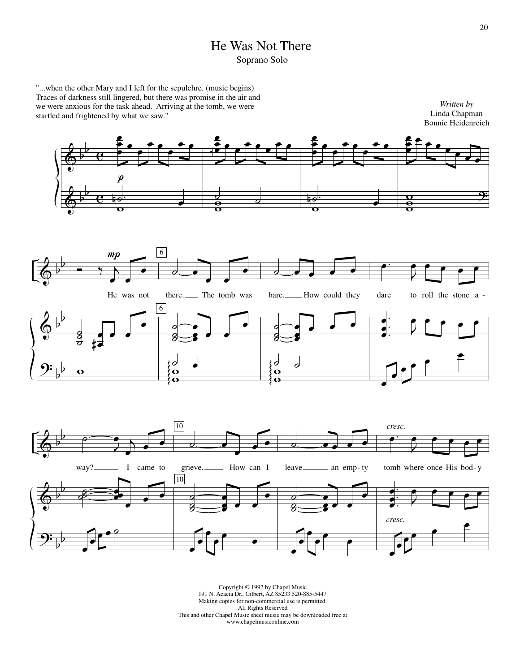## He Was Not There Soprano Solo

"...when the other Mary and I left for the sepulchre. (music begins) Traces of darkness still lingered, but there was promise in the air and we were anxious for the task ahead. Arriving at the tomb, we were startled and frightened by what we saw."







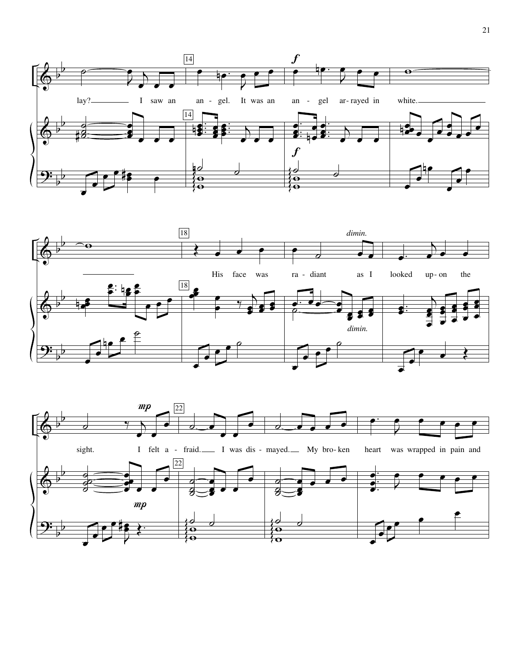



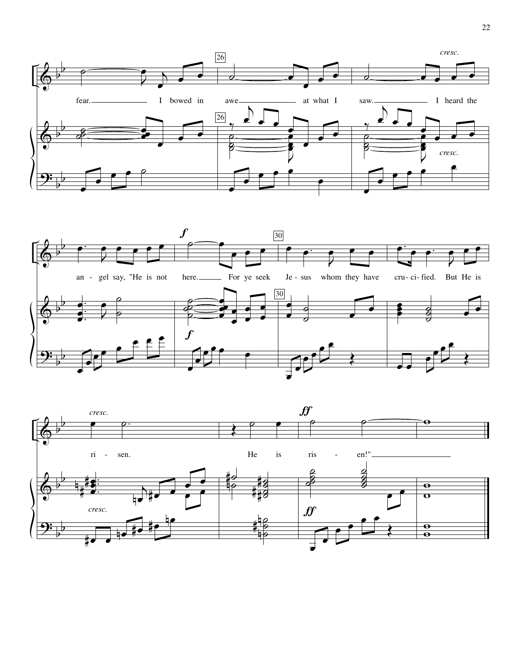



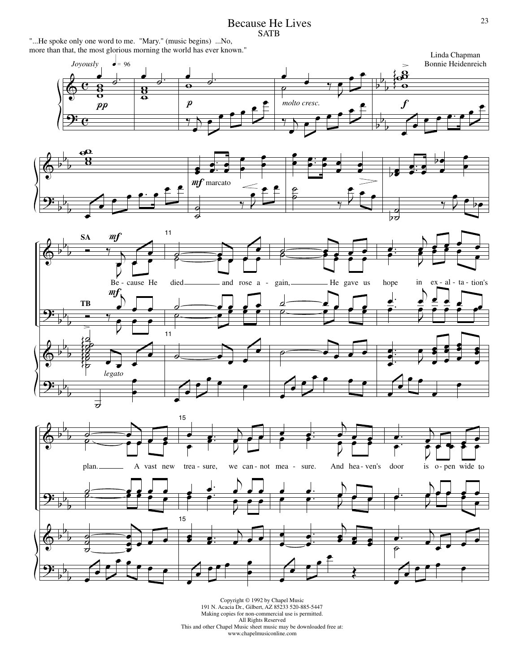Because He Lives **SATB** 

"...He spoke only one word to me. "Mary." (music begins) ...No, more than that, the most glorious morning the world has ever known."









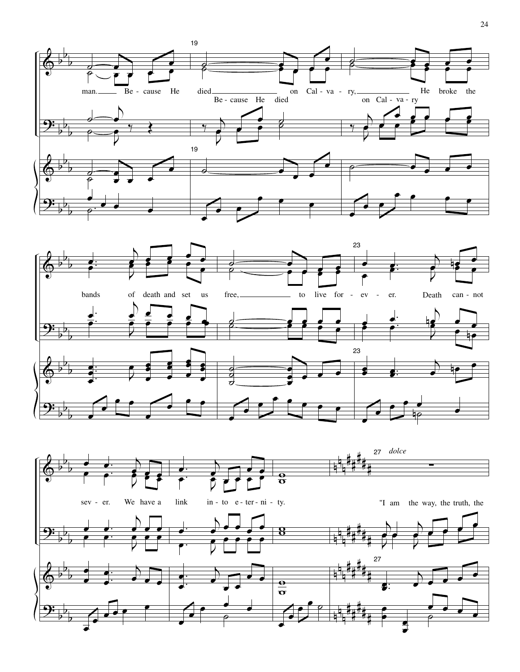



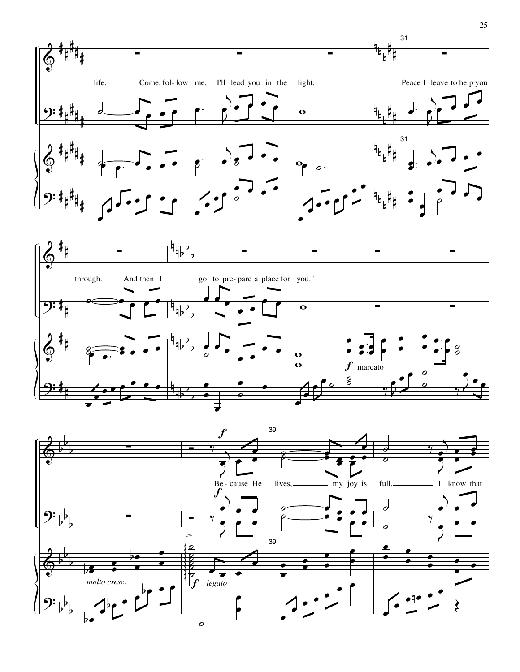



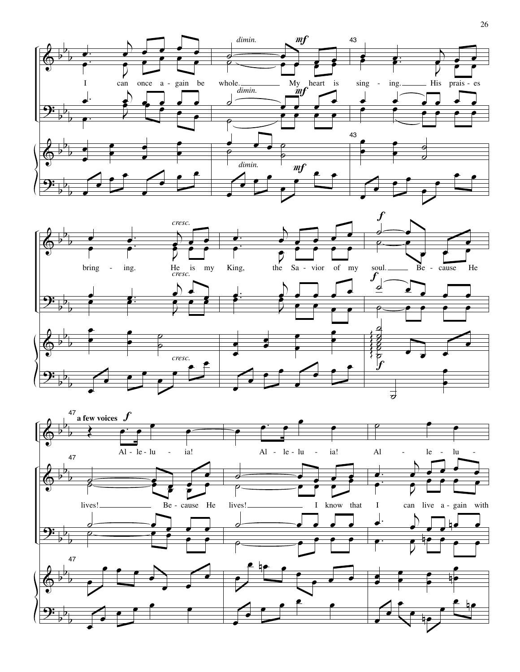



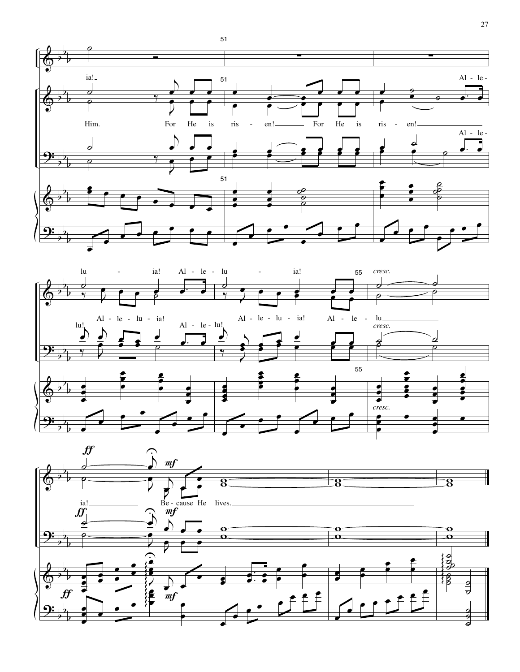



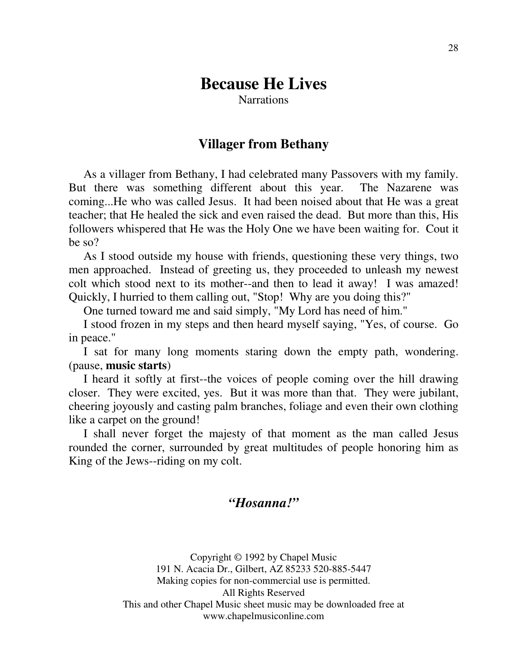# **Because He Lives**

**Narrations** 

## **Villager from Bethany**

 As a villager from Bethany, I had celebrated many Passovers with my family. But there was something different about this year. The Nazarene was coming...He who was called Jesus. It had been noised about that He was a great teacher; that He healed the sick and even raised the dead. But more than this, His followers whispered that He was the Holy One we have been waiting for. Cout it be so?

 As I stood outside my house with friends, questioning these very things, two men approached. Instead of greeting us, they proceeded to unleash my newest colt which stood next to its mother--and then to lead it away! I was amazed! Quickly, I hurried to them calling out, "Stop! Why are you doing this?"

One turned toward me and said simply, "My Lord has need of him."

 I stood frozen in my steps and then heard myself saying, "Yes, of course. Go in peace."

 I sat for many long moments staring down the empty path, wondering. (pause, **music starts**)

 I heard it softly at first--the voices of people coming over the hill drawing closer. They were excited, yes. But it was more than that. They were jubilant, cheering joyously and casting palm branches, foliage and even their own clothing like a carpet on the ground!

 I shall never forget the majesty of that moment as the man called Jesus rounded the corner, surrounded by great multitudes of people honoring him as King of the Jews--riding on my colt.

#### *"Hosanna!"*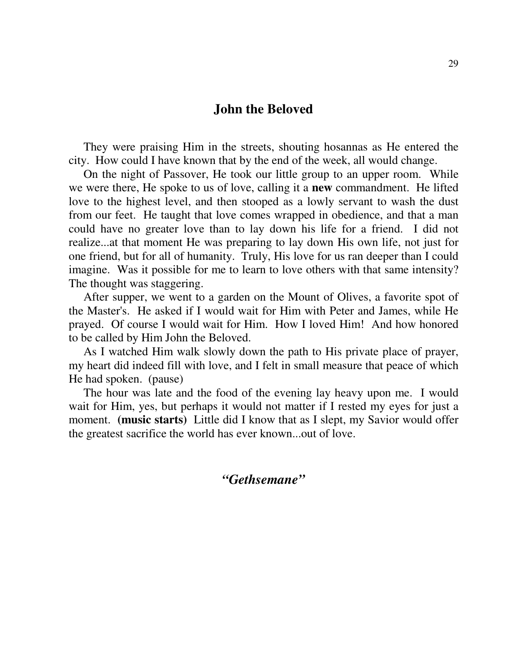#### **John the Beloved**

 They were praising Him in the streets, shouting hosannas as He entered the city. How could I have known that by the end of the week, all would change.

 On the night of Passover, He took our little group to an upper room. While we were there, He spoke to us of love, calling it a **new** commandment. He lifted love to the highest level, and then stooped as a lowly servant to wash the dust from our feet. He taught that love comes wrapped in obedience, and that a man could have no greater love than to lay down his life for a friend. I did not realize...at that moment He was preparing to lay down His own life, not just for one friend, but for all of humanity. Truly, His love for us ran deeper than I could imagine. Was it possible for me to learn to love others with that same intensity? The thought was staggering.

 After supper, we went to a garden on the Mount of Olives, a favorite spot of the Master's. He asked if I would wait for Him with Peter and James, while He prayed. Of course I would wait for Him. How I loved Him! And how honored to be called by Him John the Beloved.

 As I watched Him walk slowly down the path to His private place of prayer, my heart did indeed fill with love, and I felt in small measure that peace of which He had spoken. (pause)

 The hour was late and the food of the evening lay heavy upon me. I would wait for Him, yes, but perhaps it would not matter if I rested my eyes for just a moment. **(music starts)** Little did I know that as I slept, my Savior would offer the greatest sacrifice the world has ever known...out of love.

*"Gethsemane"*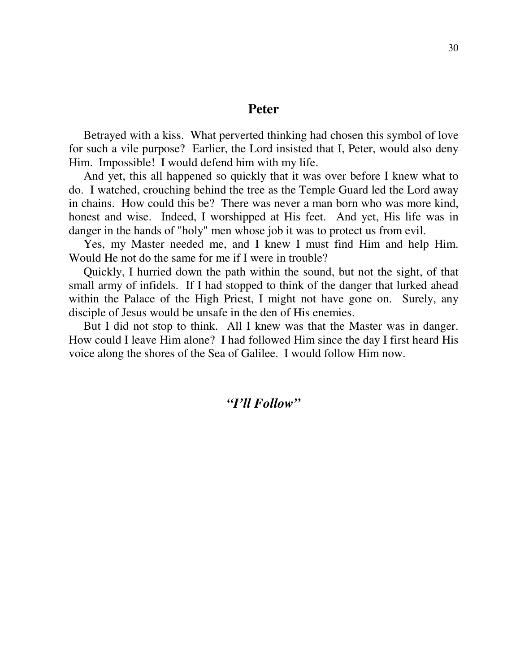#### **Peter**

 Betrayed with a kiss. What perverted thinking had chosen this symbol of love for such a vile purpose? Earlier, the Lord insisted that I, Peter, would also deny Him. Impossible! I would defend him with my life.

 And yet, this all happened so quickly that it was over before I knew what to do. I watched, crouching behind the tree as the Temple Guard led the Lord away in chains. How could this be? There was never a man born who was more kind, honest and wise. Indeed, I worshipped at His feet. And yet, His life was in danger in the hands of "holy" men whose job it was to protect us from evil.

 Yes, my Master needed me, and I knew I must find Him and help Him. Would He not do the same for me if I were in trouble?

 Quickly, I hurried down the path within the sound, but not the sight, of that small army of infidels. If I had stopped to think of the danger that lurked ahead within the Palace of the High Priest, I might not have gone on. Surely, any disciple of Jesus would be unsafe in the den of His enemies.

 But I did not stop to think. All I knew was that the Master was in danger. How could I leave Him alone? I had followed Him since the day I first heard His voice along the shores of the Sea of Galilee. I would follow Him now.

#### *"I'll Follow"*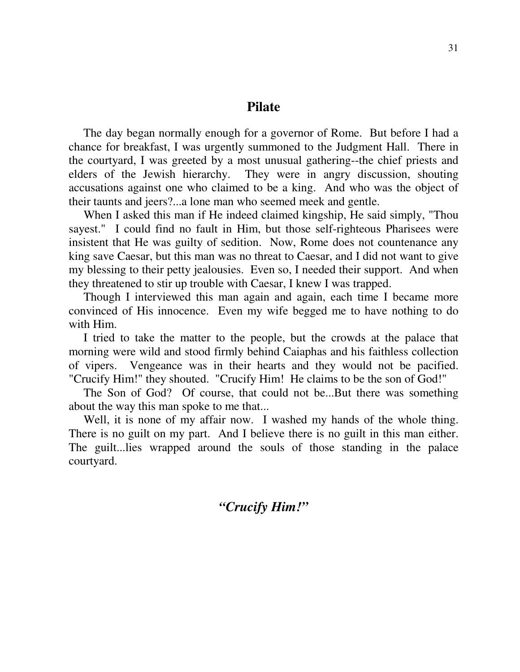#### **Pilate**

 The day began normally enough for a governor of Rome. But before I had a chance for breakfast, I was urgently summoned to the Judgment Hall. There in the courtyard, I was greeted by a most unusual gathering--the chief priests and elders of the Jewish hierarchy. They were in angry discussion, shouting accusations against one who claimed to be a king. And who was the object of their taunts and jeers?...a lone man who seemed meek and gentle.

 When I asked this man if He indeed claimed kingship, He said simply, "Thou sayest." I could find no fault in Him, but those self-righteous Pharisees were insistent that He was guilty of sedition. Now, Rome does not countenance any king save Caesar, but this man was no threat to Caesar, and I did not want to give my blessing to their petty jealousies. Even so, I needed their support. And when they threatened to stir up trouble with Caesar, I knew I was trapped.

 Though I interviewed this man again and again, each time I became more convinced of His innocence. Even my wife begged me to have nothing to do with Him.

 I tried to take the matter to the people, but the crowds at the palace that morning were wild and stood firmly behind Caiaphas and his faithless collection of vipers. Vengeance was in their hearts and they would not be pacified. "Crucify Him!" they shouted. "Crucify Him! He claims to be the son of God!"

 The Son of God? Of course, that could not be...But there was something about the way this man spoke to me that...

 Well, it is none of my affair now. I washed my hands of the whole thing. There is no guilt on my part. And I believe there is no guilt in this man either. The guilt...lies wrapped around the souls of those standing in the palace courtyard.

## *"Crucify Him!"*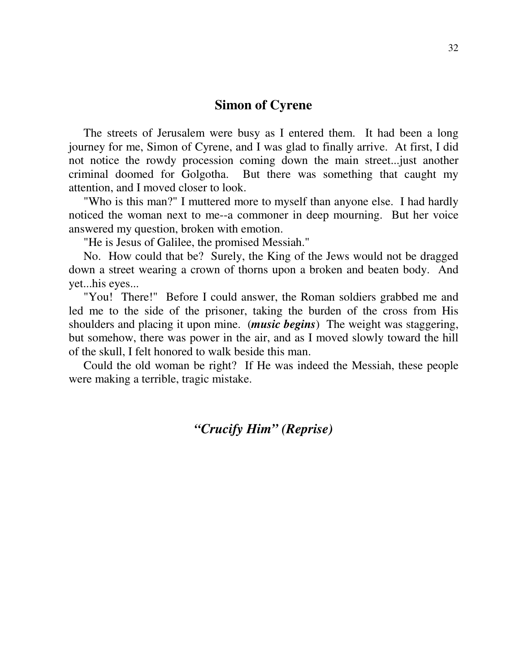#### **Simon of Cyrene**

 The streets of Jerusalem were busy as I entered them. It had been a long journey for me, Simon of Cyrene, and I was glad to finally arrive. At first, I did not notice the rowdy procession coming down the main street...just another criminal doomed for Golgotha. But there was something that caught my attention, and I moved closer to look.

 "Who is this man?" I muttered more to myself than anyone else. I had hardly noticed the woman next to me--a commoner in deep mourning. But her voice answered my question, broken with emotion.

"He is Jesus of Galilee, the promised Messiah."

 No. How could that be? Surely, the King of the Jews would not be dragged down a street wearing a crown of thorns upon a broken and beaten body. And yet...his eyes...

 "You! There!" Before I could answer, the Roman soldiers grabbed me and led me to the side of the prisoner, taking the burden of the cross from His shoulders and placing it upon mine. (*music begins*) The weight was staggering, but somehow, there was power in the air, and as I moved slowly toward the hill of the skull, I felt honored to walk beside this man.

 Could the old woman be right? If He was indeed the Messiah, these people were making a terrible, tragic mistake.

#### *"Crucify Him" (Reprise)*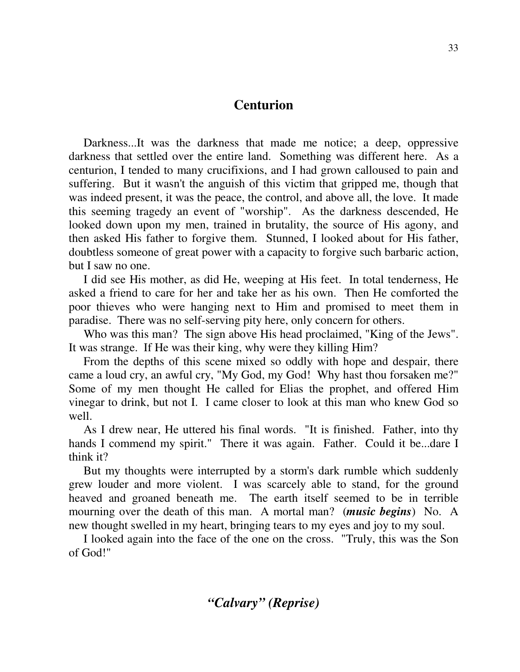#### **Centurion**

 Darkness...It was the darkness that made me notice; a deep, oppressive darkness that settled over the entire land. Something was different here. As a centurion, I tended to many crucifixions, and I had grown calloused to pain and suffering. But it wasn't the anguish of this victim that gripped me, though that was indeed present, it was the peace, the control, and above all, the love. It made this seeming tragedy an event of "worship". As the darkness descended, He looked down upon my men, trained in brutality, the source of His agony, and then asked His father to forgive them. Stunned, I looked about for His father, doubtless someone of great power with a capacity to forgive such barbaric action, but I saw no one.

 I did see His mother, as did He, weeping at His feet. In total tenderness, He asked a friend to care for her and take her as his own. Then He comforted the poor thieves who were hanging next to Him and promised to meet them in paradise. There was no self-serving pity here, only concern for others.

 Who was this man? The sign above His head proclaimed, "King of the Jews". It was strange. If He was their king, why were they killing Him?

 From the depths of this scene mixed so oddly with hope and despair, there came a loud cry, an awful cry, "My God, my God! Why hast thou forsaken me?" Some of my men thought He called for Elias the prophet, and offered Him vinegar to drink, but not I. I came closer to look at this man who knew God so well.

 As I drew near, He uttered his final words. "It is finished. Father, into thy hands I commend my spirit." There it was again. Father. Could it be...dare I think it?

 But my thoughts were interrupted by a storm's dark rumble which suddenly grew louder and more violent. I was scarcely able to stand, for the ground heaved and groaned beneath me. The earth itself seemed to be in terrible mourning over the death of this man. A mortal man? (*music begins*) No. A new thought swelled in my heart, bringing tears to my eyes and joy to my soul.

 I looked again into the face of the one on the cross. "Truly, this was the Son of God!"

*"Calvary" (Reprise)*